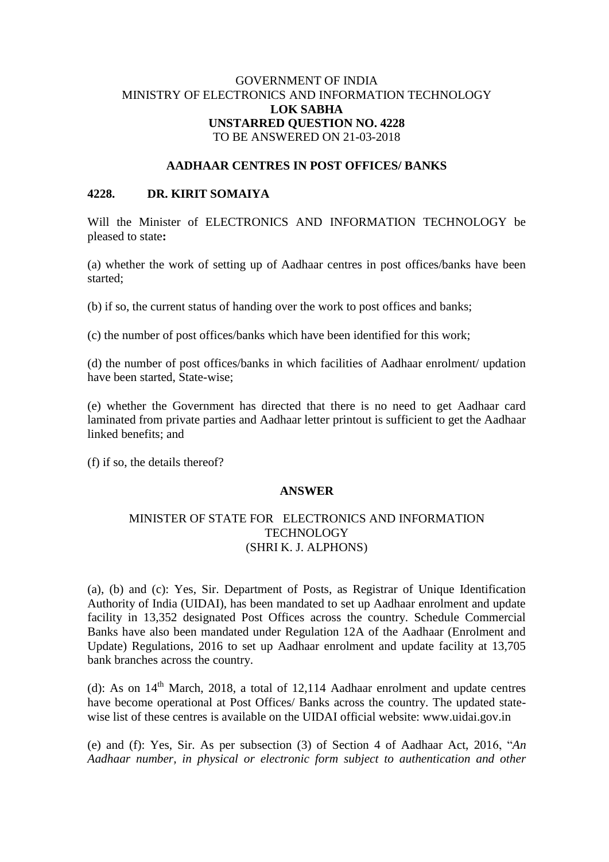# GOVERNMENT OF INDIA MINISTRY OF ELECTRONICS AND INFORMATION TECHNOLOGY **LOK SABHA UNSTARRED QUESTION NO. 4228** TO BE ANSWERED ON 21-03-2018

### **AADHAAR CENTRES IN POST OFFICES/ BANKS**

#### **4228. DR. KIRIT SOMAIYA**

Will the Minister of ELECTRONICS AND INFORMATION TECHNOLOGY be pleased to state**:**

(a) whether the work of setting up of Aadhaar centres in post offices/banks have been started;

(b) if so, the current status of handing over the work to post offices and banks;

(c) the number of post offices/banks which have been identified for this work;

(d) the number of post offices/banks in which facilities of Aadhaar enrolment/ updation have been started, State-wise;

(e) whether the Government has directed that there is no need to get Aadhaar card laminated from private parties and Aadhaar letter printout is sufficient to get the Aadhaar linked benefits; and

(f) if so, the details thereof?

#### **ANSWER**

## MINISTER OF STATE FOR ELECTRONICS AND INFORMATION **TECHNOLOGY** (SHRI K. J. ALPHONS)

(a), (b) and (c): Yes, Sir. Department of Posts, as Registrar of Unique Identification Authority of India (UIDAI), has been mandated to set up Aadhaar enrolment and update facility in 13,352 designated Post Offices across the country. Schedule Commercial Banks have also been mandated under Regulation 12A of the Aadhaar (Enrolment and Update) Regulations, 2016 to set up Aadhaar enrolment and update facility at 13,705 bank branches across the country.

(d): As on  $14<sup>th</sup>$  March, 2018, a total of 12,114 Aadhaar enrolment and update centres have become operational at Post Offices/ Banks across the country. The updated statewise list of these centres is available on the UIDAI official website: www.uidai.gov.in

(e) and (f): Yes, Sir. As per subsection (3) of Section 4 of Aadhaar Act, 2016, "*An Aadhaar number, in physical or electronic form subject to authentication and other*